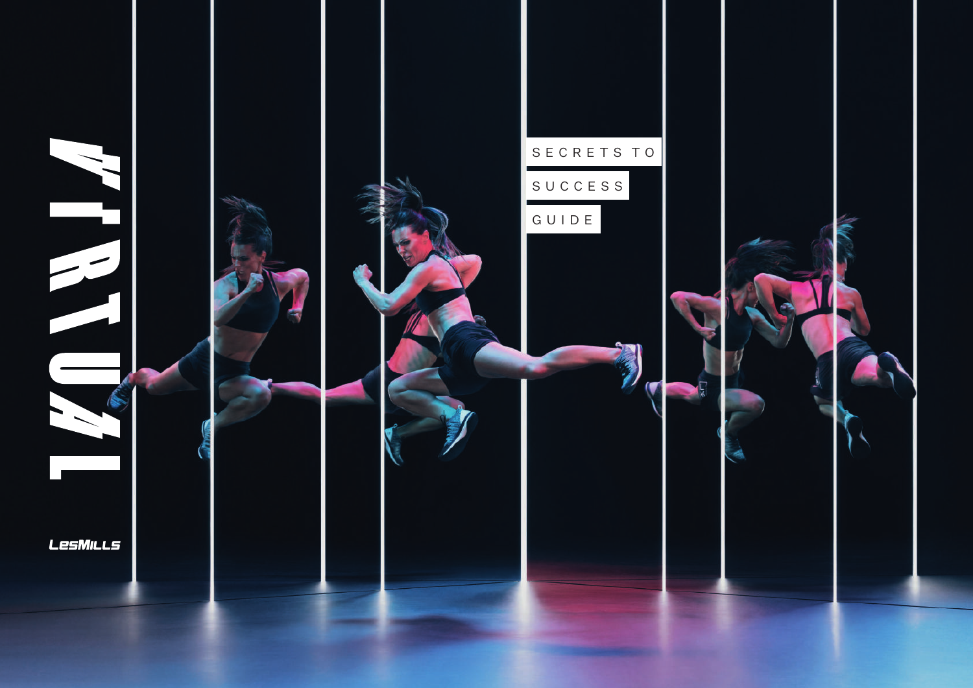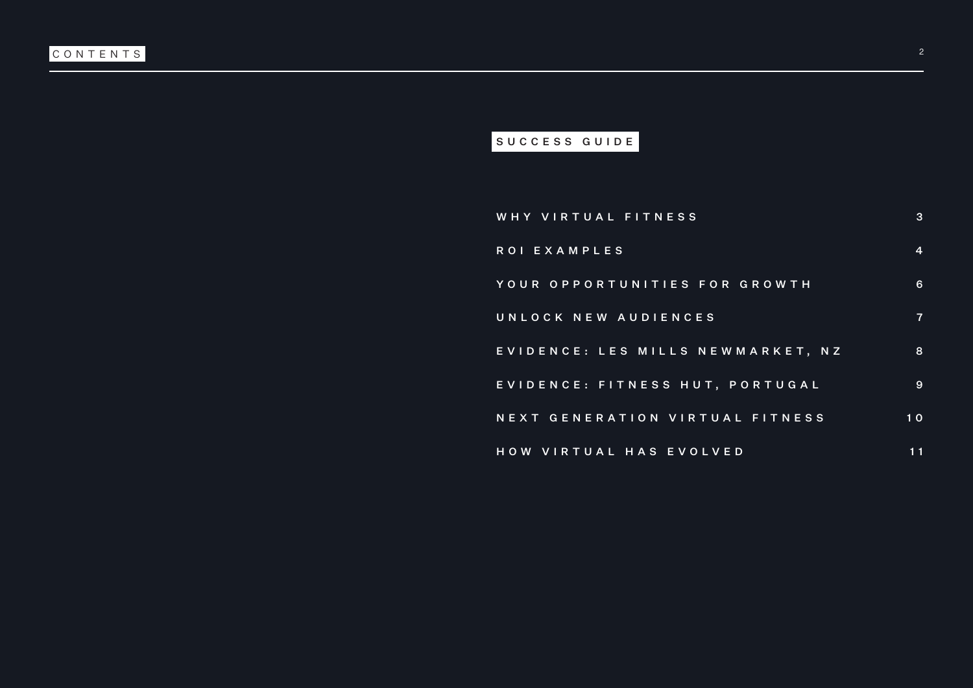# SUCCESS GUIDE

| WHY VIRTUAL FITNESS               | 3              |
|-----------------------------------|----------------|
| ROI EXAMPLES                      | $\overline{4}$ |
| YOUR OPPORTUNITIES FOR GROWTH     | 6              |
| UNLOCK NEW AUDIENCES              | 7              |
| EVIDENCE: LES MILLS NEWMARKET, NZ | 8              |
| EVIDENCE: FITNESS HUT, PORTUGAL   | 9              |
| NEXT GENERATION VIRTUAL FITNESS   | 10             |
| HOW VIRTUAL HAS EVOLVED           | 11             |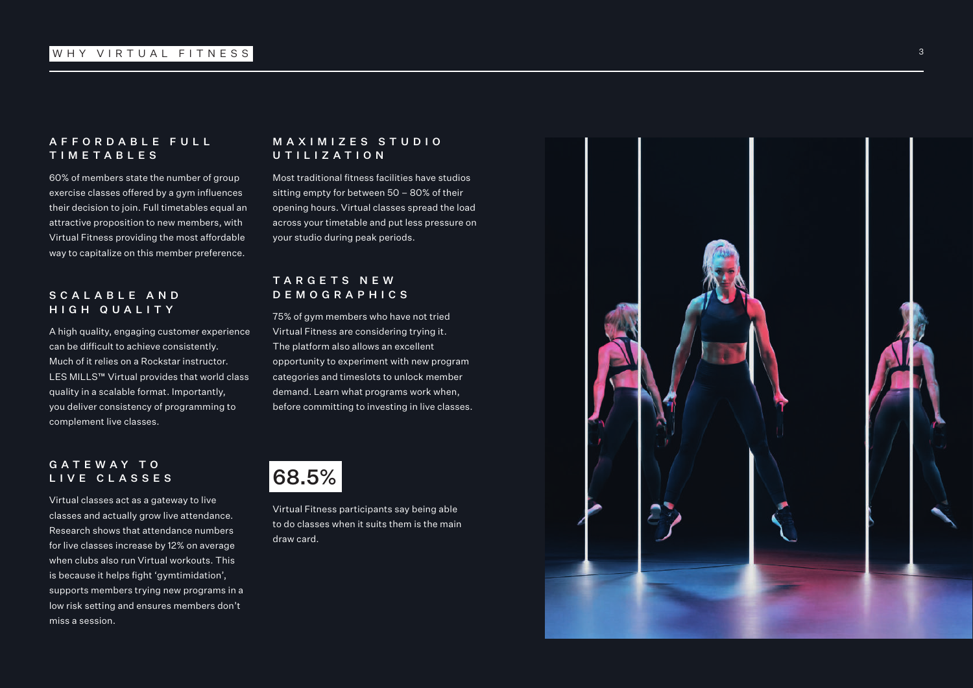## <span id="page-2-0"></span>A F F O R D A B L E F U L L TIMETABLES

60% of members state the number of group exercise classes offered by a gym influences their decision to join. Full timetables equal an attractive proposition to new members, with Virtual Fitness providing the most affordable way to capitalize on this member preference.

#### S C A L A B L E A N D HIGH QUALITY

A high quality, engaging customer experience can be difficult to achieve consistently. Much of it relies on a Rockstar instructor. LES MILLS™ Virtual provides that world class quality in a scalable format. Importantly, you deliver consistency of programming to complement live classes.

### GATEWAY TO LIVE CLASSES

Virtual classes act as a gateway to live classes and actually grow live attendance. Research shows that attendance numbers for live classes increase by 12% on average when clubs also run Virtual workouts. This is because it helps fight 'gymtimidation', supports members trying new programs in a low risk setting and ensures members don't miss a session.

#### MAXIMIZES STUDIO UTILIZATION

Most traditional fitness facilities have studios sitting empty for between 50 – 80% of their opening hours. Virtual classes spread the load across your timetable and put less pressure on your studio during peak periods.

## T A R G E T S N E W DEMOGRAPHICS

75% of gym members who have not tried Virtual Fitness are considering trying it. The platform also allows an excellent opportunity to experiment with new program categories and timeslots to unlock member demand. Learn what programs work when, before committing to investing in live classes.



Virtual Fitness participants say being able to do classes when it suits them is the main draw card.

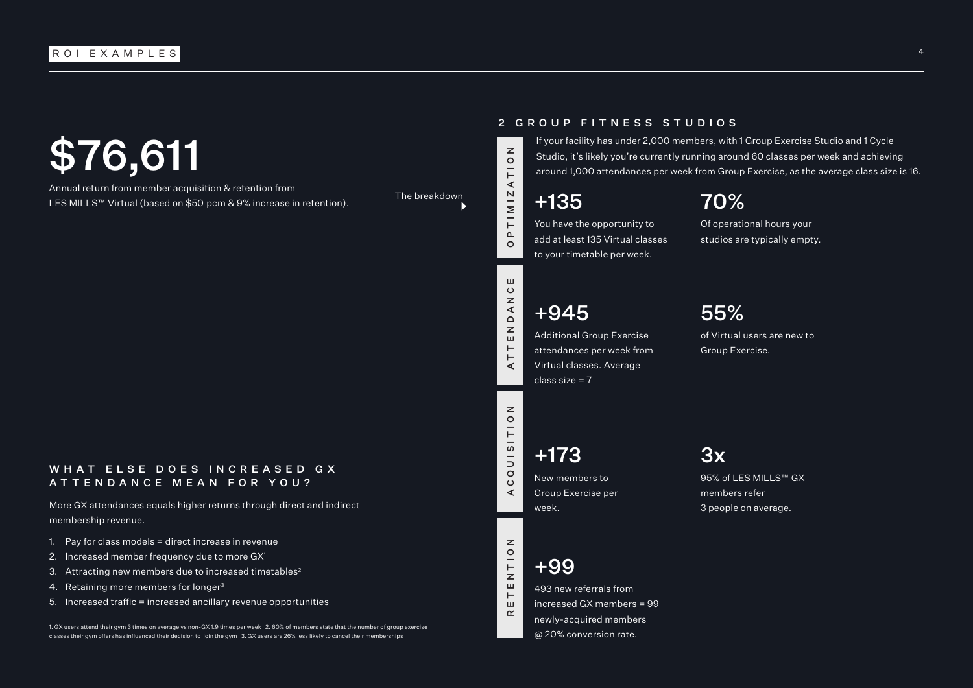# <span id="page-3-0"></span>\$76,611

Annual return from member acquisition & retention from LES MILLS™ Virtual (based on \$50 pcm & 9% increase in retention).

The breakdown

# WHAT ELSE DOES INCREASED GX ATTENDANCE MEAN FOR YOU?

More GX attendances equals higher returns through direct and indirect membership revenue.

- 1. Pay for class models = direct increase in revenue
- 2. Increased member frequency due to more GX<sup>1</sup>
- 3. Attracting new members due to increased timetables<sup>2</sup>
- 4. Retaining more members for longer<sup>3</sup>
- 5. Increased traffic = increased ancillary revenue opportunities

1. GX users attend their gym 3 times on average vs non-GX 1.9 times per week 2. 60% of members state that the number of group exercise classes their gym offers has influenced their decision to join the gym 3. GX users are 26% less likely to cancel their memberships

#### 2 GROUP FITNESS STUDIOS

If your facility has under 2,000 members, with 1 Group Exercise Studio and 1 Cycle Studio, it's likely you're currently running around 60 classes per week and achieving around 1,000 attendances per week from Group Exercise, as the average class size is 16.

# +135

You have the opportunity to add at least 135 Virtual classes to your timetable per week.

# 70%

Of operational hours your studios are typically empty.

# +945

attendances per week from Virtual classes. Average class size = 7

# 55%

of Virtual users are new to Group Exercise.

+173 New members to

Group Exercise per week.

+99

493 new referrals from increased GX members = 99 newly-acquired members @ 20% conversion rate.

# $3x$

95% of LES MILLS™ GX members refer 3 people on average.

Additional Group Exercise

RETENTION ACQUISITION ATTENDANCE OPTIMIZATION

 $\mathbf{z}$  $\frac{1}{2}$ ဖ  $\frac{1}{2}$  $\circ$  $\overline{O}$  $\blacktriangleleft$ 

 $\overline{z}$  $\frac{1}{2}$  $\overline{z}$ ш  $\vdash$ ш  $\propto$ 

ш  $\circ$  $\,$   $\,$  $\overline{A}$  $\mathsf{z}$ ш  $\vdash$  $\vdash$  $\leq$ 

 $\overline{z}$  $T10$  $\prec$  $M IZ$  $\bar{E}$  $\alpha$  $\circ$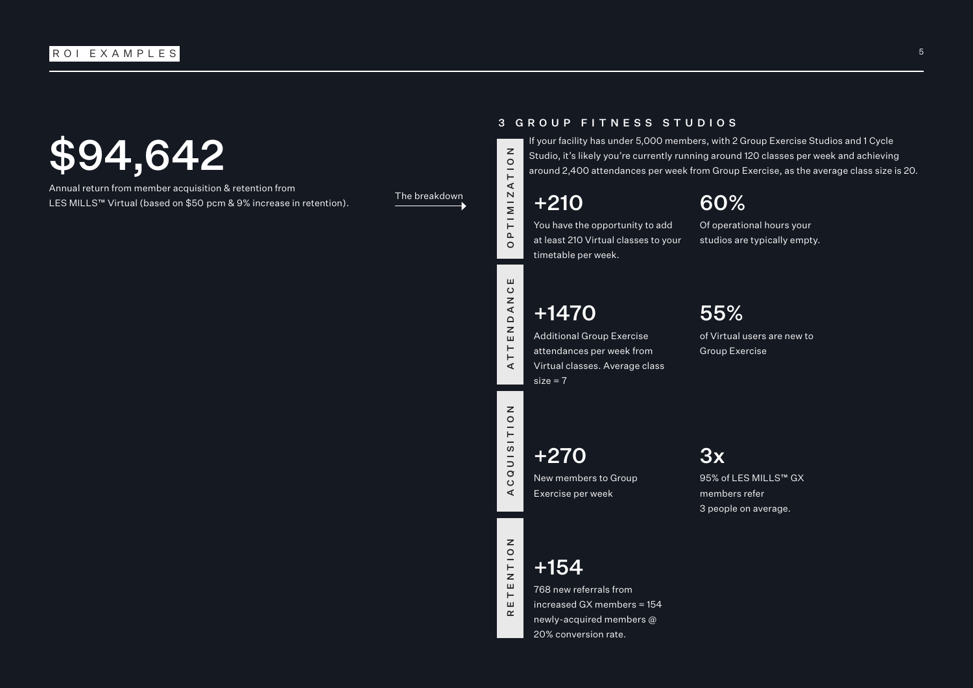# \$94,642

Annual return from member acquisition & retention from LES MILLS™ Virtual (based on \$50 pcm & 9% increase in retention).

The breakdown

#### 3 GROUP FITNESS STUDIOS

If your facility has under 5,000 members, with 2 Group Exercise Studios and 1 Cycle Studio, it's likely you're currently running around 120 classes per week and achieving around 2,400 attendances per week from Group Exercise, as the average class size is 20.

# +210

You have the opportunity to add at least 210 Virtual classes to your timetable per week.

# 60%

Of operational hours your studios are typically empty.

# +1470

RETENTION BUCKONOMITISION ATTENDANCE OPTIMIZATION

 $\mathbf{z}$ 

UISITIO

 $\circ$  $\overline{O}$  $\prec$ 

 $\overline{z}$ NTIOI 풉  $\vdash$ ш  $\simeq$ 

 $\,$   $\,$ ATIO

 $M1Z$ .

 $P$  $\overline{\circ}$ 

 $\mathbf{u}$  $\circ$ DANO  $\mathsf z$ 됴  $\vdash$  $\overline{A}$   $\overline{B}$ 

Additional Group Exercise attendances per week from Virtual classes. Average class  $size = 7$ 

# 55%

of Virtual users are new to Group Exercise

+270 New members to Group Exercise per week

+154

# 768 new referrals from increased GX members = 154 newly-acquired members @ 20% conversion rate.

3x

95% of LES MILLS™ GX members refer 3 people on average.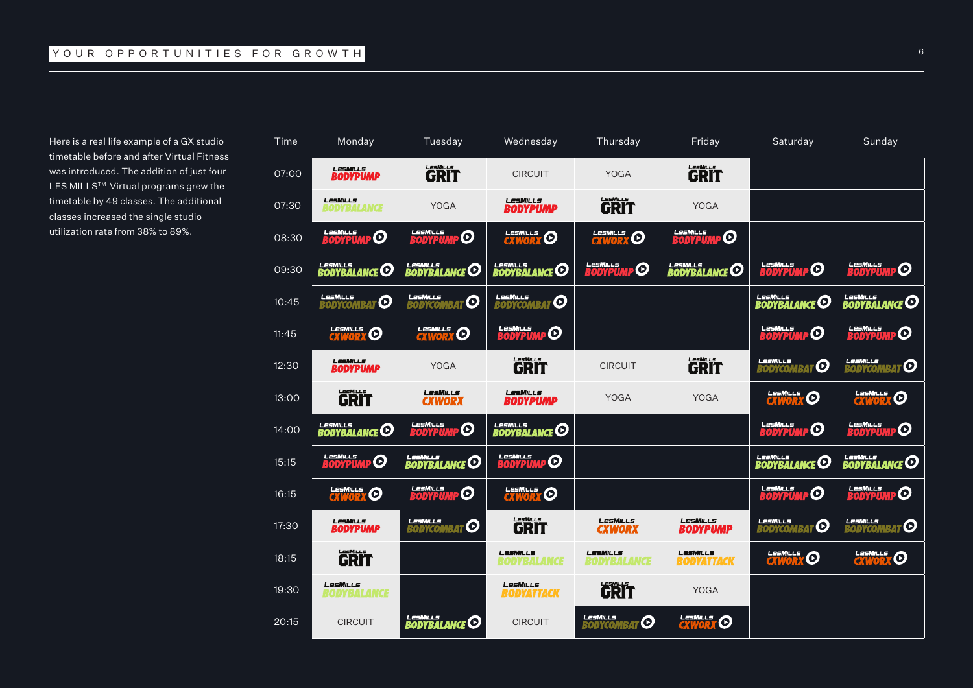| Time  | Monday                                         | Tuesday                                          | Wednesday                                      | Thursday                                                  | Friday                                           | Saturday                                                     | Sunday                                                  |
|-------|------------------------------------------------|--------------------------------------------------|------------------------------------------------|-----------------------------------------------------------|--------------------------------------------------|--------------------------------------------------------------|---------------------------------------------------------|
| 07:00 | <b>LesMILLs</b><br><b>BODYPUMP</b>             | GRIT                                             | <b>CIRCUIT</b>                                 | <b>YOGA</b>                                               | GRIT                                             |                                                              |                                                         |
| 07:30 | LesMills<br><b>BODYBALANCE</b>                 | <b>YOGA</b>                                      | LesMills<br><b>BODYPUMP</b>                    | <b>GRIT</b>                                               | <b>YOGA</b>                                      |                                                              |                                                         |
| 08:30 | LesMiLL <mark>s</mark><br>BODYPUMP<br><b>Q</b> | LesMiLLS<br><b>BODYPUMP</b><br>0                 | <b>CXWORX O</b>                                | <b>LESMILLS</b><br>$\boldsymbol{\Theta}$<br><b>CXWORX</b> | LesMILLs<br>$\bm{\mathsf{O}}$<br><b>BODYPUMP</b> |                                                              |                                                         |
| 09:30 | LESMILLS<br><b>BODYBALANCE</b> <sup>O</sup>    | LESMILLS<br><b>BODYBALANCE</b> <sup>O</sup>      | LESMILLS<br><b>BODYBALANCE</b> <sup>O</sup>    | LesMiLLS<br><b>BODYPUMP</b><br>$\bm{\mathsf{O}}$          | <b>EQUALLS ANCE OF</b>                           | <b>LesMILLS</b><br>$\bm{\mathsf{\Omega}}$<br><b>BODYPUMP</b> | LesMiLL <mark>s</mark><br>BODYPUMP<br>$\bm{\mathsf{O}}$ |
| 10:45 | LesMills<br><b>BODYCOMBAT O</b>                | <b>LesMILLs</b><br><b>BODYCOMBAT O</b>           | LesMills<br><b>BODYCOMBAT O</b>                |                                                           |                                                  | LESMILLS<br><b>BODYBALANCE</b>                               | LesMILL5<br><b>BODYBALANCE</b> <sup>O</sup>             |
| 11:45 | <b>CXWORX O</b>                                | <b>CXWORX O</b>                                  | LesMILLS<br>BODYPUMP<br>$\bm{\mathsf{\Theta}}$ |                                                           |                                                  | LesMiLLS<br><b>BODYPUMP</b><br>$\bm{\mathsf{\odot}}$         | LesMiLLS<br><b>BODYPUMP</b><br>$\bm{\mathsf{O}}$        |
| 12:30 | <b>LESMILLS</b><br><b>BODYPUMP</b>             | <b>YOGA</b>                                      | GRIT                                           | <b>CIRCUIT</b>                                            | <b>GRIT</b>                                      | LesMiLLs<br>$\bm{\mathsf{O}}$<br><b>BODYCOMBAT</b>           | LesMills<br><b>BODYCOMBAT O</b>                         |
| 13:00 | GRIT                                           | LesMills<br><b>CXWORX</b>                        | LesMills<br><b>BODYPUMP</b>                    | <b>YOGA</b>                                               | <b>YOGA</b>                                      | LESMILL5 O                                                   | <b>CXWORX O</b>                                         |
| 14:00 | <b>EQUAL BODYBALANCE<sup>C</sup></b>           | LesMiLLs<br>$\bm{\Theta}$<br>RODYPUMP            | LESMILLS<br><b>BODYBALANCE</b> <sup>O</sup>    |                                                           |                                                  | <b>LesMILLS</b><br>$\bm{\mathsf{\odot}}$<br><b>BODYPUMP</b>  | <b>LesMiLLS</b><br>$\bm{\mathsf{O}}$<br>BODYPUMP        |
| 15:15 | LesMills<br>$\bm{\mathsf{O}}$<br>BODYPUMP      | LesMILL5<br><b>BODYBALANCE</b>                   | LesMiLLs<br>$\bm{\mathsf{O}}$<br>RODYPUMP      |                                                           |                                                  | LESMILLS<br><b>BODYBALANCE</b>                               | LesMILL5<br><b>BODYBALANCE</b> <sup>O</sup>             |
| 16:15 | <b>CXWORX O</b>                                | LesMILLS<br><b>BODYPUMP</b><br>$\bm{\mathsf{O}}$ | <b>CXWORX O</b>                                |                                                           |                                                  | LesMiLLS<br><b>BODYPUMP</b><br>$\bm{\mathsf{O}}$             | LesMILLS<br><b>BODYPUMP</b><br>$\bm{\mathsf{O}}$        |
| 17:30 | LesMills<br><b>BODYPUMP</b>                    | <b>LesMILLS</b><br><b>BODYCOMBAT O</b>           | GRIT                                           | LesMills<br><b>CXWORX</b>                                 | <b>LesMILLs</b><br><b>BODYPUMP</b>               | LesMills<br>$\bm{\mathsf{O}}$<br><b>BODYCOMBAT</b>           | LesMILLS<br><b>BODYCOMBAT O</b>                         |
| 18:15 | GRIT                                           |                                                  | <b>LesMILLs</b><br>BODYBALANCE                 | LesMills<br><b>BODYBALANCE</b>                            | LesMills<br><b>BODYATTACK</b>                    | <b>LESMILLS</b>                                              | <b>CXWORX O</b>                                         |
| 19:30 | <b>LesMILLs</b><br>BODYBALANCE                 |                                                  | LesMills<br><b>BODYATTACK</b>                  | <b>GRIT</b>                                               | <b>YOGA</b>                                      |                                                              |                                                         |
| 20:15 | <b>CIRCUIT</b>                                 | LESMILLS<br><b>BODYBALANCE</b>                   | <b>CIRCUIT</b>                                 | LesMiLLs<br>$\bm{\mathsf{O}}$<br><b>BODYCOMBAT</b>        | <b>CXWORX O</b>                                  |                                                              |                                                         |

<span id="page-5-0"></span>Here is a real life example of a GX studio timetable before and after Virtual Fitness was introduced. The addition of just four LES MILLS<sup>™</sup> Virtual programs grew the timetable by 49 classes. The additional classes increased the single studio utilization rate from 38% to 89%.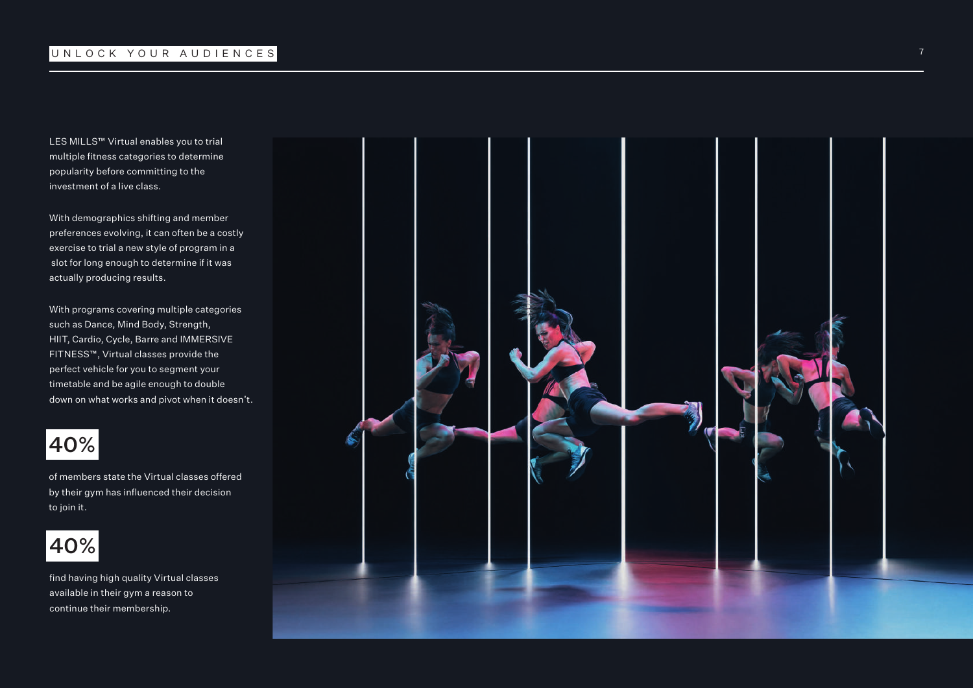<span id="page-6-0"></span>LES MILLS™ Virtual enables you to trial multiple fitness categories to determine popularity before committing to the investment of a live class.

With demographics shifting and member preferences evolving, it can often be a costly exercise to trial a new style of program in a slot for long enough to determine if it was actually producing results.

With programs covering multiple categories such as Dance, Mind Body, Strength, HIIT, Cardio, Cycle, Barre and IMMERSIVE FITNESS™, Virtual classes provide the perfect vehicle for you to segment your timetable and be agile enough to double down on what works and pivot when it doesn't.

# 40%

of members state the Virtual classes offered by their gym has influenced their decision to join it.



find having high quality Virtual classes available in their gym a reason to continue their membership.

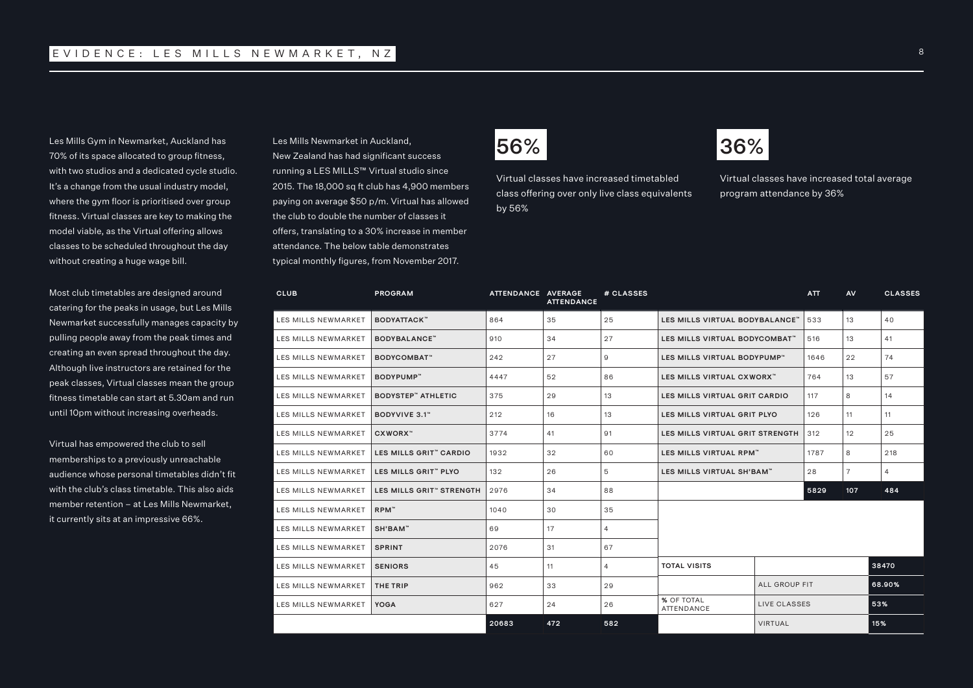<span id="page-7-0"></span>Les Mills Gym in Newmarket, Auckland has 70% of its space allocated to group fitness, with two studios and a dedicated cycle studio. It's a change from the usual industry model, where the gym floor is prioritised over group fitness. Virtual classes are key to making the model viable, as the Virtual offering allows classes to be scheduled throughout the day without creating a huge wage bill.

Most club timetables are designed around catering for the peaks in usage, but Les Mills Newmarket successfully manages capacity by pulling people away from the peak times and creating an even spread throughout the day. Although live instructors are retained for the peak classes, Virtual classes mean the group fitness timetable can start at 5.30am and run until 10pm without increasing overheads.

Virtual has empowered the club to sell memberships to a previously unreachable audience whose personal timetables didn't fit with the club's class timetable. This also aids member retention – at Les Mills Newmarket, it currently sits at an impressive 66%.

Les Mills Newmarket in Auckland, New Zealand has had significant success running a LES MILLS™ Virtual studio since 2015. The 18,000 sq ft club has 4,900 members paying on average \$50 p/m. Virtual has allowed the club to double the number of classes it offers, translating to a 30% increase in member attendance. The below table demonstrates typical monthly figures, from November 2017.



Virtual classes have increased timetabled class offering over only live class equivalents by 56%



Virtual classes have increased total average program attendance by 36%

| CLUB                       | <b>PROGRAM</b>             | ATTENDANCE AVERAGE | <b>ATTENDANCE</b> | # CLASSES |                                          |                | ATT. | <b>AV</b> | <b>CLASSES</b> |
|----------------------------|----------------------------|--------------------|-------------------|-----------|------------------------------------------|----------------|------|-----------|----------------|
| LES MILLS NEWMARKET        | <b>BODYATTACK™</b>         | 864                | 35                | 25        | LES MILLS VIRTUAL BODYBALANCE"           |                | 533  | 13        | 40             |
| <b>LES MILLS NEWMARKET</b> | BODYBALANCE"               | 910                | 34                | 27        | LES MILLS VIRTUAL BODYCOMBAT"            |                | 516  | 13        | 41             |
| LES MILLS NEWMARKET        | <b>BODYCOMBAT™</b>         | 242                | 27                | 9         | LES MILLS VIRTUAL BODYPUMP"              |                | 1646 | 22        | 74             |
| <b>LES MILLS NEWMARKET</b> | BODYPUMP <sup>"</sup>      | 4447               | 52                | 86        | LES MILLS VIRTUAL CXWORX <sup>"</sup>    |                | 764  | 13        | 57             |
| <b>LES MILLS NEWMARKET</b> | <b>BODYSTEP</b> " ATHLETIC | 375                | 29                | 13        | LES MILLS VIRTUAL GRIT CARDIO            |                | 117  | 8         | 14             |
| <b>LES MILLS NEWMARKET</b> | BODYVIVE 3.1"              | 212                | 16                | 13        | LES MILLS VIRTUAL GRIT PLYO              |                | 126  | 11        | 11             |
| LES MILLS NEWMARKET        | CXWORX™                    | 3774               | 41                | 91        | LES MILLS VIRTUAL GRIT STRENGTH          |                | 312  | 12        | 25             |
| LES MILLS NEWMARKET        | LES MILLS GRIT" CARDIO     | 1932               | 32                | 60        | LES MILLS VIRTUAL RPM <sup>**</sup>      |                | 1787 | 8         | 218            |
| <b>LES MILLS NEWMARKET</b> | LES MILLS GRIT" PLYO       | 132                | 26                | 5         | LES MILLS VIRTUAL SH'BAM"                |                | 28   | 7         | 4              |
| LES MILLS NEWMARKET        | LES MILLS GRIT" STRENGTH   | 2976               | 34                | 88        |                                          |                | 5829 | 107       | 484            |
| <b>LES MILLS NEWMARKET</b> | <b>RPM™</b>                | 1040               | 30                | 35        |                                          |                |      |           |                |
| <b>LES MILLS NEWMARKET</b> | SH'BAM"                    | 69                 | 17                | 4         |                                          |                |      |           |                |
| <b>LES MILLS NEWMARKET</b> | <b>SPRINT</b>              | 2076               | 31                | 67        |                                          |                |      |           |                |
| LES MILLS NEWMARKET        | <b>SENIORS</b>             | 45                 | 11                | 4         | <b>TOTAL VISITS</b>                      |                |      |           | 38470          |
| LES MILLS NEWMARKET        | THE TRIP                   | 962                | 33                | 29        | <b>ALL GROUP FIT</b>                     |                |      | 68.90%    |                |
| <b>LES MILLS NEWMARKET</b> | <b>YOGA</b>                | 627                | 24                | 26        | % OF TOTAL<br>LIVE CLASSES<br>ATTENDANCE |                |      |           | 53%            |
|                            |                            | 20683              | 472               | 582       |                                          | <b>VIRTUAL</b> |      |           | 15%            |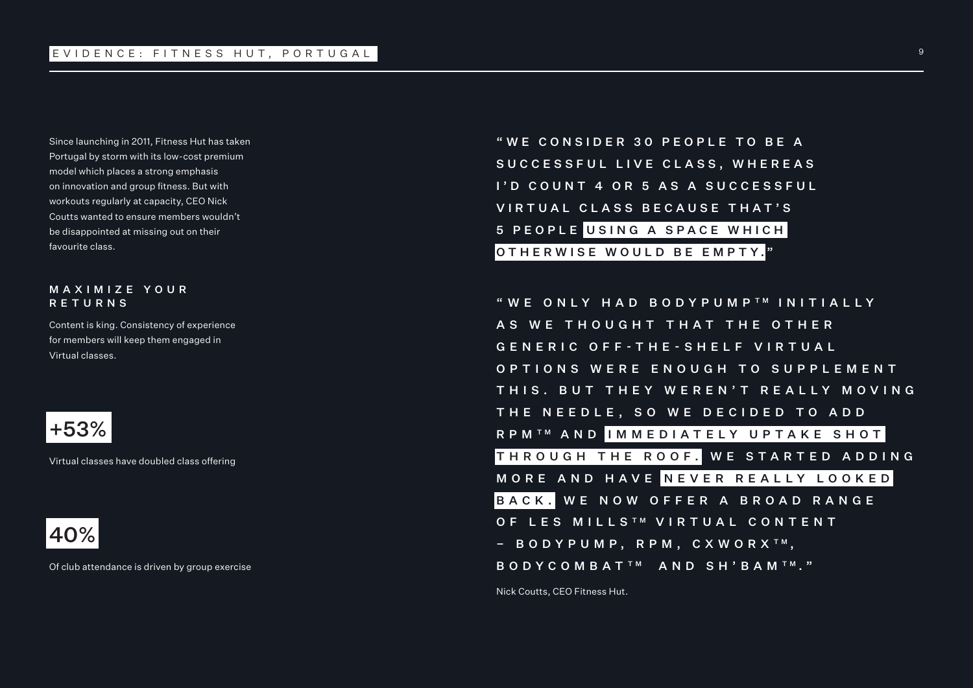<span id="page-8-0"></span>Since launching in 2011, Fitness Hut has taken Portugal by storm with its low-cost premium model which places a strong emphasis on innovation and group fitness. But with workouts regularly at capacity, CEO Nick Coutts wanted to ensure members wouldn't be disappointed at missing out on their favourite class.

#### MAXIMIZE YOUR RETURNS

Content is king. Consistency of experience for members will keep them engaged in Virtual classes.



Virtual classes have doubled class offering



Of club attendance is driven by group exercise

" WE CONSIDER 30 PEOPLE TO BE A SUCCESSFUL LIVE CLASS, WHEREAS I'D COUNT 4 OR 5 AS A SUCCESSFUL VIRTUAL CLASS BECAUSE THAT'S 5 PEOPLE USING A SPACE WHICH OTHERWISE WOULD BE EMPTY.

" WE ONLY HAD BODYPUMP<sup>TM</sup> INITIALLY AS WE THOUGHT THAT THE OTHER GENERIC OFF-THE-SHELF VIRTUAL O P T I O N S W E R E E N O U G H T O S U P P L E M E N T THIS. BUT THEY WEREN'T REALLY MOVING THE NEEDLE, SO WE DECIDED TO ADD RPM<sup>™</sup> AND IMMEDIATELY UPTAKE SHOT THROUGH THE ROOF. WE STARTED ADDING MORE AND HAVE NEVER REALLY LOOKED BACK. WE NOW OFFER A BROAD RANGE OF LES MILLS<sup>TM</sup> VIRTUAL CONTENT - BODYPUMP, RPM, CXWORX<sup>TM</sup>, BODYCOMBAT<sup>TM</sup> AND SH'BAM<sup>TM</sup>."

Nick Coutts, CEO Fitness Hut.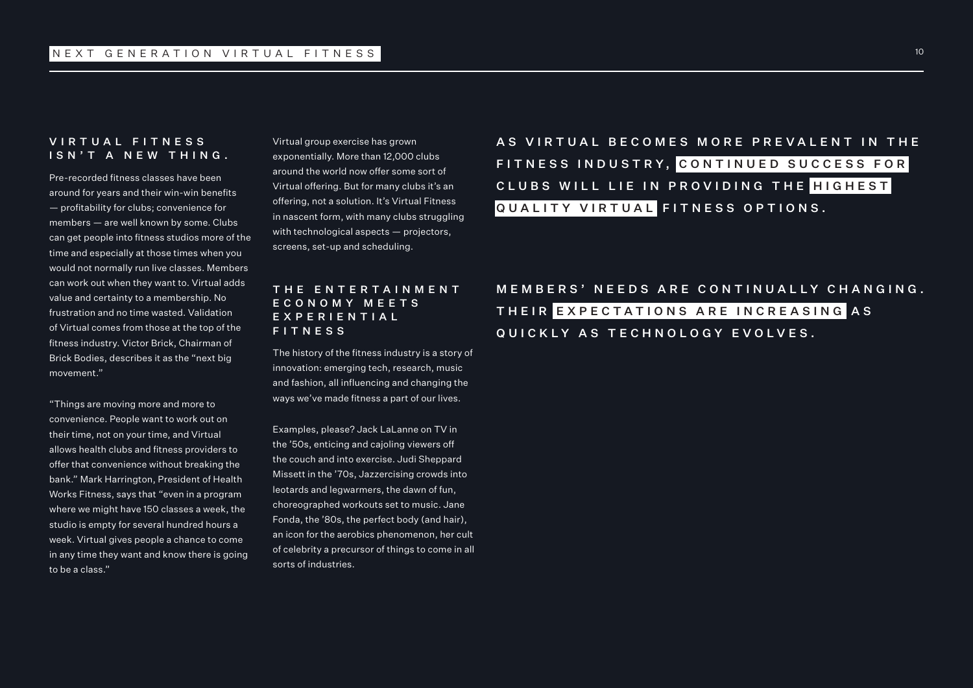#### <span id="page-9-0"></span>VIRTUAL FITNESS ISN'T A NEW THING.

Pre-recorded fitness classes have been around for years and their win-win benefits — profitability for clubs; convenience for members — are well known by some. Clubs can get people into fitness studios more of the time and especially at those times when you would not normally run live classes. Members can work out when they want to. Virtual adds value and certainty to a membership. No frustration and no time wasted. Validation of Virtual comes from those at the top of the fitness industry. Victor Brick, Chairman of Brick Bodies, describes it as the "next big movement."

"Things are moving more and more to convenience. People want to work out on their time, not on your time, and Virtual allows health clubs and fitness providers to offer that convenience without breaking the bank." Mark Harrington, President of Health Works Fitness, says that "even in a program where we might have 150 classes a week, the studio is empty for several hundred hours a week. Virtual gives people a chance to come in any time they want and know there is going to be a class."

Virtual group exercise has grown exponentially. More than 12,000 clubs around the world now offer some sort of Virtual offering. But for many clubs it's an offering, not a solution. It's Virtual Fitness in nascent form, with many clubs struggling with technological aspects — projectors, screens, set-up and scheduling.

## THE ENTERTAINMENT E C O N O M Y M E E T S E X P E R I E N T I A L FITNESS

The history of the fitness industry is a story of innovation: emerging tech, research, music and fashion, all influencing and changing the ways we've made fitness a part of our lives.

Examples, please? Jack LaLanne on TV in the '50s, enticing and cajoling viewers off the couch and into exercise. Judi Sheppard Missett in the '70s, Jazzercising crowds into leotards and legwarmers, the dawn of fun, choreographed workouts set to music. Jane Fonda, the '80s, the perfect body (and hair), an icon for the aerobics phenomenon, her cult of celebrity a precursor of things to come in all sorts of industries.

AS VIRTUAL BECOMES MORE PREVALENT IN THE FITNESS INDUSTRY, CONTINUED SUCCESS FOR CLUBS WILL LIE IN PROVIDING THE HIGHEST QUALITY VIRTUAL FITNESS OPTIONS.

# M E M B E R S' N E E D S A R E CON T IN UALLY CHANGING. THEIR EXPECTATIONS ARE INCREASING AS QUICKLY AS TECHNOLOGY EVOLVES.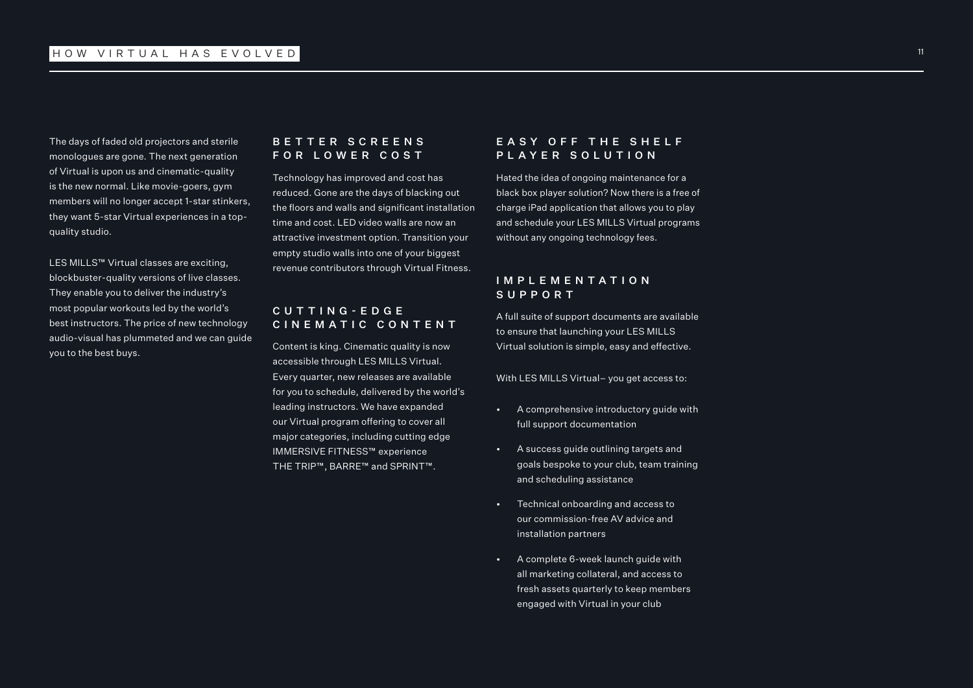<span id="page-10-0"></span>The days of faded old projectors and sterile monologues are gone. The next generation of Virtual is upon us and cinematic-quality is the new normal. Like movie-goers, gym members will no longer accept 1-star stinkers, they want 5-star Virtual experiences in a topquality studio.

LES MILLS™ Virtual classes are exciting, blockbuster-quality versions of live classes. They enable you to deliver the industry's most popular workouts led by the world's best instructors. The price of new technology audio-visual has plummeted and we can guide you to the best buys.

#### B E T T E R S C R E E N S FOR LOWER COST

Technology has improved and cost has reduced. Gone are the days of blacking out the floors and walls and significant installation time and cost. LED video walls are now an attractive investment option. Transition your empty studio walls into one of your biggest revenue contributors through Virtual Fitness.

#### C U T T I N G - E D G E CINEMATIC CONTENT

Content is king. Cinematic quality is now accessible through LES MILLS Virtual. Every quarter, new releases are available for you to schedule, delivered by the world's leading instructors. We have expanded our Virtual program offering to cover all major categories, including cutting edge IMMERSIVE FITNESS™ experience THE TRIP™, BARRE™ and SPRINT™.

### EASY OFF THE SHELF PLAYER SOLUTION

Hated the idea of ongoing maintenance for a black box player solution? Now there is a free of charge iPad application that allows you to play and schedule your LES MILLS Virtual programs without any ongoing technology fees.

#### I M P L E M E N T A T I O N SUPPORT

A full suite of support documents are available to ensure that launching your LES MILLS Virtual solution is simple, easy and effective.

With LES MILLS Virtual– you get access to:

- A comprehensive introductory guide with full support documentation
- A success guide outlining targets and goals bespoke to your club, team training and scheduling assistance
- Technical onboarding and access to our commission-free AV advice and installation partners
- A complete 6-week launch guide with all marketing collateral, and access to fresh assets quarterly to keep members engaged with Virtual in your club